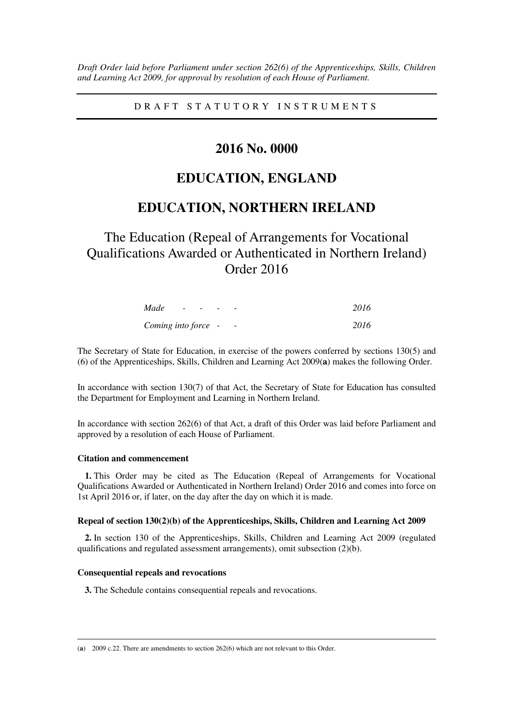*Draft Order laid before Parliament under section 262(6) of the Apprenticeships, Skills, Children and Learning Act 2009, for approval by resolution of each House of Parliament.* 

D R A F T S T A T U T O R Y I N S T R U M E N T S

## **2016 No. 0000**

# **EDUCATION, ENGLAND**

## **EDUCATION, NORTHERN IRELAND**

The Education (Repeal of Arrangements for Vocational Qualifications Awarded or Authenticated in Northern Ireland) Order 2016

| Made                | $\overline{\phantom{a}}$ | $\overline{\phantom{a}}$ |                          | 2016 |
|---------------------|--------------------------|--------------------------|--------------------------|------|
| Coming into force - |                          |                          | $\overline{\phantom{a}}$ | 2016 |

The Secretary of State for Education, in exercise of the powers conferred by sections 130(5) and (6) of the Apprenticeships, Skills, Children and Learning Act 2009(**a**) makes the following Order.

In accordance with section 130(7) of that Act, the Secretary of State for Education has consulted the Department for Employment and Learning in Northern Ireland.

In accordance with section 262(6) of that Act, a draft of this Order was laid before Parliament and approved by a resolution of each House of Parliament.

## **Citation and commencement**

**1.** This Order may be cited as The Education (Repeal of Arrangements for Vocational Qualifications Awarded or Authenticated in Northern Ireland) Order 2016 and comes into force on 1st April 2016 or, if later, on the day after the day on which it is made.

## **Repeal of section 130(2)(b) of the Apprenticeships, Skills, Children and Learning Act 2009**

**2.** In section 130 of the Apprenticeships, Skills, Children and Learning Act 2009 (regulated qualifications and regulated assessment arrangements), omit subsection (2)(b).

#### **Consequential repeals and revocations**

**3.** The Schedule contains consequential repeals and revocations.

<u>.</u> (**a**) 2009 c.22. There are amendments to section 262(6) which are not relevant to this Order.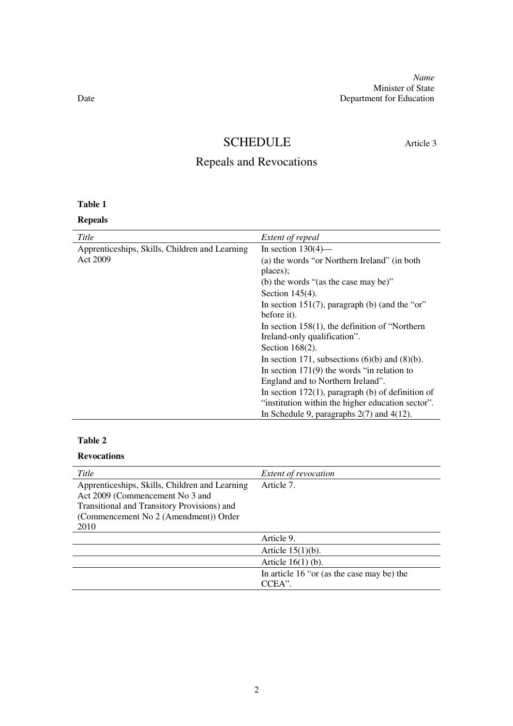*Name* Minister of State Date Department for Education

# SCHEDULE Article 3

# Repeals and Revocations

## **Table 1**

**Repeals** 

| Title                                          | Extent of repeal                                     |
|------------------------------------------------|------------------------------------------------------|
| Apprenticeships, Skills, Children and Learning | In section $130(4)$ —                                |
| Act 2009                                       | (a) the words "or Northern Ireland" (in both         |
|                                                | places);                                             |
|                                                | (b) the words "(as the case may be)"                 |
|                                                | Section $145(4)$ .                                   |
|                                                | In section 151(7), paragraph (b) (and the "or"       |
|                                                | before it).                                          |
|                                                | In section $158(1)$ , the definition of "Northern"   |
|                                                | Ireland-only qualification".                         |
|                                                | Section $168(2)$ .                                   |
|                                                | In section 171, subsections $(6)(b)$ and $(8)(b)$ .  |
|                                                | In section $171(9)$ the words "in relation to        |
|                                                | England and to Northern Ireland".                    |
|                                                | In section $172(1)$ , paragraph (b) of definition of |
|                                                | "institution within the higher education sector".    |
|                                                | In Schedule 9, paragraphs $2(7)$ and $4(12)$ .       |

## **Table 2**

## **Revocations**

| Title                                          | <i>Extent of revocation</i>                |
|------------------------------------------------|--------------------------------------------|
| Apprenticeships, Skills, Children and Learning | Article 7.                                 |
| Act 2009 (Commencement No 3 and                |                                            |
| Transitional and Transitory Provisions) and    |                                            |
| (Commencement No 2 (Amendment)) Order          |                                            |
| 2010                                           |                                            |
|                                                | Article 9.                                 |
|                                                | Article $15(1)(b)$ .                       |
|                                                | Article $16(1)$ (b).                       |
|                                                | In article 16 "or (as the case may be) the |
|                                                | CCEA".                                     |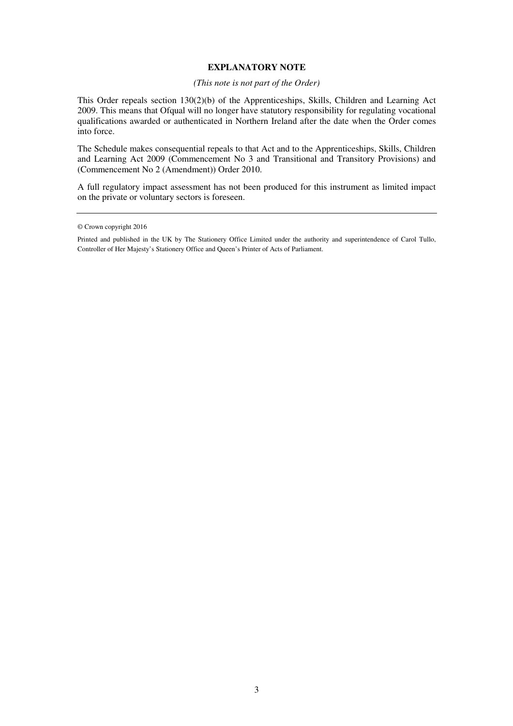## **EXPLANATORY NOTE**

## *(This note is not part of the Order)*

This Order repeals section 130(2)(b) of the Apprenticeships, Skills, Children and Learning Act 2009. This means that Ofqual will no longer have statutory responsibility for regulating vocational qualifications awarded or authenticated in Northern Ireland after the date when the Order comes into force.

The Schedule makes consequential repeals to that Act and to the Apprenticeships, Skills, Children and Learning Act 2009 (Commencement No 3 and Transitional and Transitory Provisions) and (Commencement No 2 (Amendment)) Order 2010.

A full regulatory impact assessment has not been produced for this instrument as limited impact on the private or voluntary sectors is foreseen.

<sup>©</sup> Crown copyright 2016

Printed and published in the UK by The Stationery Office Limited under the authority and superintendence of Carol Tullo, Controller of Her Majesty's Stationery Office and Queen's Printer of Acts of Parliament.